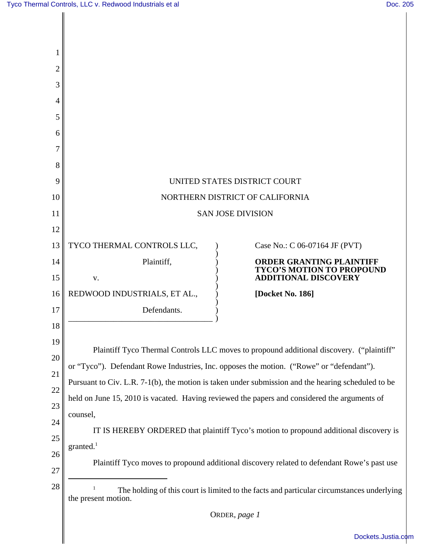| $\overline{2}$ |                                                                                                                                                                                                                                                                                            |  |  |  |
|----------------|--------------------------------------------------------------------------------------------------------------------------------------------------------------------------------------------------------------------------------------------------------------------------------------------|--|--|--|
| 3              |                                                                                                                                                                                                                                                                                            |  |  |  |
| 4              |                                                                                                                                                                                                                                                                                            |  |  |  |
| 5              |                                                                                                                                                                                                                                                                                            |  |  |  |
| 6              |                                                                                                                                                                                                                                                                                            |  |  |  |
| 7              |                                                                                                                                                                                                                                                                                            |  |  |  |
| 8              |                                                                                                                                                                                                                                                                                            |  |  |  |
| 9              | UNITED STATES DISTRICT COURT                                                                                                                                                                                                                                                               |  |  |  |
| 10             | NORTHERN DISTRICT OF CALIFORNIA                                                                                                                                                                                                                                                            |  |  |  |
| 11             | <b>SAN JOSE DIVISION</b>                                                                                                                                                                                                                                                                   |  |  |  |
| 12             |                                                                                                                                                                                                                                                                                            |  |  |  |
| 13             | TYCO THERMAL CONTROLS LLC,<br>Case No.: C 06-07164 JF (PVT)                                                                                                                                                                                                                                |  |  |  |
| 14             | Plaintiff,<br><b>ORDER GRANTING PLAINTIFF</b><br><b>TYCO'S MOTION TO PROPOUND</b>                                                                                                                                                                                                          |  |  |  |
| 15             | <b>ADDITIONAL DISCOVERY</b><br>V.                                                                                                                                                                                                                                                          |  |  |  |
| 16             | REDWOOD INDUSTRIALS, ET AL.,<br>[Docket No. 186]                                                                                                                                                                                                                                           |  |  |  |
| 17             | Defendants.                                                                                                                                                                                                                                                                                |  |  |  |
| 18             |                                                                                                                                                                                                                                                                                            |  |  |  |
| 19             | Plaintiff Tyco Thermal Controls LLC moves to propound additional discovery. ("plaintiff"<br>or "Tyco"). Defendant Rowe Industries, Inc. opposes the motion. ("Rowe" or "defendant").<br>Pursuant to Civ. L.R. 7-1(b), the motion is taken under submission and the hearing scheduled to be |  |  |  |
| 20             |                                                                                                                                                                                                                                                                                            |  |  |  |
| 21             |                                                                                                                                                                                                                                                                                            |  |  |  |
| 22             | held on June 15, 2010 is vacated. Having reviewed the papers and considered the arguments of                                                                                                                                                                                               |  |  |  |
| 23             | counsel,                                                                                                                                                                                                                                                                                   |  |  |  |
| 24             | IT IS HEREBY ORDERED that plaintiff Tyco's motion to propound additional discovery is                                                                                                                                                                                                      |  |  |  |
| 25             | granted. <sup>1</sup>                                                                                                                                                                                                                                                                      |  |  |  |
| 26             | Plaintiff Tyco moves to propound additional discovery related to defendant Rowe's past use                                                                                                                                                                                                 |  |  |  |
| 27             |                                                                                                                                                                                                                                                                                            |  |  |  |
| 28             | The holding of this court is limited to the facts and particular circumstances underlying<br>the present motion.                                                                                                                                                                           |  |  |  |
|                | ORDER, page 1                                                                                                                                                                                                                                                                              |  |  |  |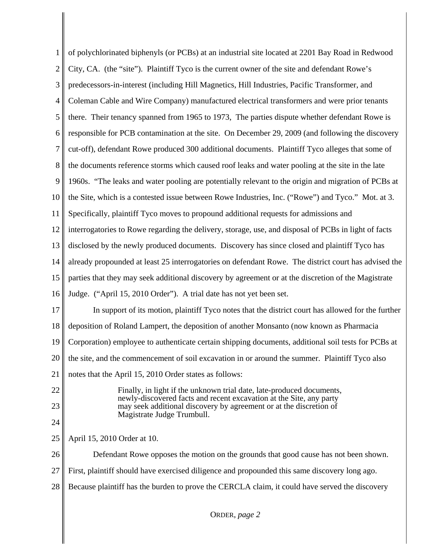| $\mathbf{1}$   | of polychlorinated biphenyls (or PCBs) at an industrial site located at 2201 Bay Road in Redwood                                             |  |  |  |
|----------------|----------------------------------------------------------------------------------------------------------------------------------------------|--|--|--|
| $\overline{2}$ | City, CA. (the "site"). Plaintiff Tyco is the current owner of the site and defendant Rowe's                                                 |  |  |  |
| 3              | predecessors-in-interest (including Hill Magnetics, Hill Industries, Pacific Transformer, and                                                |  |  |  |
| 4              | Coleman Cable and Wire Company) manufactured electrical transformers and were prior tenants                                                  |  |  |  |
| 5              | there. Their tenancy spanned from 1965 to 1973, The parties dispute whether defendant Rowe is                                                |  |  |  |
| 6              | responsible for PCB contamination at the site. On December 29, 2009 (and following the discovery                                             |  |  |  |
| 7              | cut-off), defendant Rowe produced 300 additional documents. Plaintiff Tyco alleges that some of                                              |  |  |  |
| 8              | the documents reference storms which caused roof leaks and water pooling at the site in the late                                             |  |  |  |
| 9              | 1960s. "The leaks and water pooling are potentially relevant to the origin and migration of PCBs at                                          |  |  |  |
| 10             | the Site, which is a contested issue between Rowe Industries, Inc. ("Rowe") and Tyco." Mot. at 3.                                            |  |  |  |
| 11             | Specifically, plaintiff Tyco moves to propound additional requests for admissions and                                                        |  |  |  |
| 12             | interrogatories to Rowe regarding the delivery, storage, use, and disposal of PCBs in light of facts                                         |  |  |  |
| 13             | disclosed by the newly produced documents. Discovery has since closed and plaintiff Tyco has                                                 |  |  |  |
| 14             | already propounded at least 25 interrogatories on defendant Rowe. The district court has advised the                                         |  |  |  |
| 15             | parties that they may seek additional discovery by agreement or at the discretion of the Magistrate                                          |  |  |  |
| 16             | Judge. ("April 15, 2010 Order"). A trial date has not yet been set.                                                                          |  |  |  |
| 17             | In support of its motion, plaintiff Tyco notes that the district court has allowed for the further                                           |  |  |  |
| 18             | deposition of Roland Lampert, the deposition of another Monsanto (now known as Pharmacia                                                     |  |  |  |
| 19             | Corporation) employee to authenticate certain shipping documents, additional soil tests for PCBs at                                          |  |  |  |
| 20             | the site, and the commencement of soil excavation in or around the summer. Plaintiff Tyco also                                               |  |  |  |
| 21             | notes that the April 15, 2010 Order states as follows:                                                                                       |  |  |  |
| 22             | Finally, in light if the unknown trial date, late-produced documents,<br>newly-discovered facts and recent excavation at the Site, any party |  |  |  |
| 23             | may seek additional discovery by agreement or at the discretion of<br>Magistrate Judge Trumbull.                                             |  |  |  |
| 24             |                                                                                                                                              |  |  |  |
| 25             | April 15, 2010 Order at 10.                                                                                                                  |  |  |  |
| 26             | Defendant Rowe opposes the motion on the grounds that good cause has not been shown.                                                         |  |  |  |
| 27             | First, plaintiff should have exercised diligence and propounded this same discovery long ago.                                                |  |  |  |
| 28             | Because plaintiff has the burden to prove the CERCLA claim, it could have served the discovery                                               |  |  |  |
|                |                                                                                                                                              |  |  |  |
|                | ORDER, page 2                                                                                                                                |  |  |  |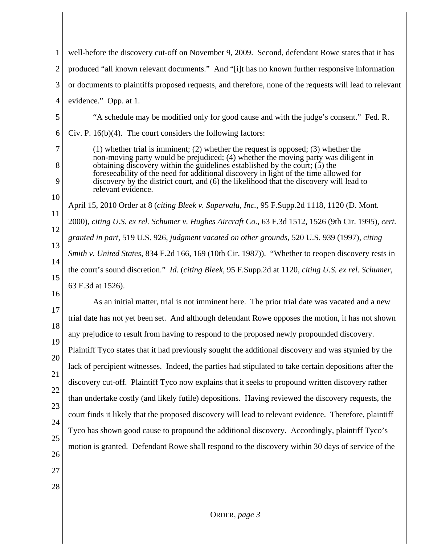| 1                                                                                                                | well-before the discovery cut-off on November 9, 2009. Second, defendant Rowe states that it has                                                                                                                                                                                                                                                                                                                                                                         |  |  |  |
|------------------------------------------------------------------------------------------------------------------|--------------------------------------------------------------------------------------------------------------------------------------------------------------------------------------------------------------------------------------------------------------------------------------------------------------------------------------------------------------------------------------------------------------------------------------------------------------------------|--|--|--|
| $\overline{2}$                                                                                                   | produced "all known relevant documents." And "[i]t has no known further responsive information                                                                                                                                                                                                                                                                                                                                                                           |  |  |  |
| 3                                                                                                                | or documents to plaintiffs proposed requests, and therefore, none of the requests will lead to relevant                                                                                                                                                                                                                                                                                                                                                                  |  |  |  |
| $\overline{4}$                                                                                                   | evidence." Opp. at 1.                                                                                                                                                                                                                                                                                                                                                                                                                                                    |  |  |  |
| 5                                                                                                                | "A schedule may be modified only for good cause and with the judge's consent." Fed. R.                                                                                                                                                                                                                                                                                                                                                                                   |  |  |  |
| 6                                                                                                                | Civ. P. $16(b)(4)$ . The court considers the following factors:                                                                                                                                                                                                                                                                                                                                                                                                          |  |  |  |
| 7<br>8<br>9<br>10                                                                                                | $(1)$ whether trial is imminent; $(2)$ whether the request is opposed; $(3)$ whether the<br>non-moving party would be prejudiced; (4) whether the moving party was diligent in<br>obtaining discovery within the guidelines established by the court; $(5)$ the<br>foreseeability of the need for additional discovery in light of the time allowed for<br>discovery by the district court, and (6) the likelihood that the discovery will lead to<br>relevant evidence. |  |  |  |
|                                                                                                                  | April 15, 2010 Order at 8 (citing Bleek v. Supervalu, Inc., 95 F.Supp.2d 1118, 1120 (D. Mont.                                                                                                                                                                                                                                                                                                                                                                            |  |  |  |
| 11                                                                                                               | 2000), citing U.S. ex rel. Schumer v. Hughes Aircraft Co., 63 F.3d 1512, 1526 (9th Cir. 1995), cert.                                                                                                                                                                                                                                                                                                                                                                     |  |  |  |
| 12<br>13                                                                                                         | granted in part, 519 U.S. 926, judgment vacated on other grounds, 520 U.S. 939 (1997), citing                                                                                                                                                                                                                                                                                                                                                                            |  |  |  |
|                                                                                                                  | Smith v. United States, 834 F.2d 166, 169 (10th Cir. 1987)). "Whether to reopen discovery rests in                                                                                                                                                                                                                                                                                                                                                                       |  |  |  |
| 14<br>the court's sound discretion." Id. (citing Bleek, 95 F.Supp.2d at 1120, citing U.S. ex rel. Schumer,<br>15 |                                                                                                                                                                                                                                                                                                                                                                                                                                                                          |  |  |  |
| 16                                                                                                               | 63 F.3d at 1526).                                                                                                                                                                                                                                                                                                                                                                                                                                                        |  |  |  |
| 17                                                                                                               | As an initial matter, trial is not imminent here. The prior trial date was vacated and a new                                                                                                                                                                                                                                                                                                                                                                             |  |  |  |
| 18                                                                                                               | trial date has not yet been set. And although defendant Rowe opposes the motion, it has not shown                                                                                                                                                                                                                                                                                                                                                                        |  |  |  |
| 19                                                                                                               | any prejudice to result from having to respond to the proposed newly propounded discovery.                                                                                                                                                                                                                                                                                                                                                                               |  |  |  |
| 20                                                                                                               | Plaintiff Tyco states that it had previously sought the additional discovery and was stymied by the                                                                                                                                                                                                                                                                                                                                                                      |  |  |  |
| 21                                                                                                               | lack of percipient witnesses. Indeed, the parties had stipulated to take certain depositions after the                                                                                                                                                                                                                                                                                                                                                                   |  |  |  |
| 22                                                                                                               | discovery cut-off. Plaintiff Tyco now explains that it seeks to propound written discovery rather                                                                                                                                                                                                                                                                                                                                                                        |  |  |  |
| 23                                                                                                               | than undertake costly (and likely futile) depositions. Having reviewed the discovery requests, the                                                                                                                                                                                                                                                                                                                                                                       |  |  |  |
| 24                                                                                                               | court finds it likely that the proposed discovery will lead to relevant evidence. Therefore, plaintiff                                                                                                                                                                                                                                                                                                                                                                   |  |  |  |
| 25                                                                                                               | Tyco has shown good cause to propound the additional discovery. Accordingly, plaintiff Tyco's                                                                                                                                                                                                                                                                                                                                                                            |  |  |  |
| 26                                                                                                               | motion is granted. Defendant Rowe shall respond to the discovery within 30 days of service of the                                                                                                                                                                                                                                                                                                                                                                        |  |  |  |
| 27                                                                                                               |                                                                                                                                                                                                                                                                                                                                                                                                                                                                          |  |  |  |
| 28                                                                                                               |                                                                                                                                                                                                                                                                                                                                                                                                                                                                          |  |  |  |
|                                                                                                                  |                                                                                                                                                                                                                                                                                                                                                                                                                                                                          |  |  |  |